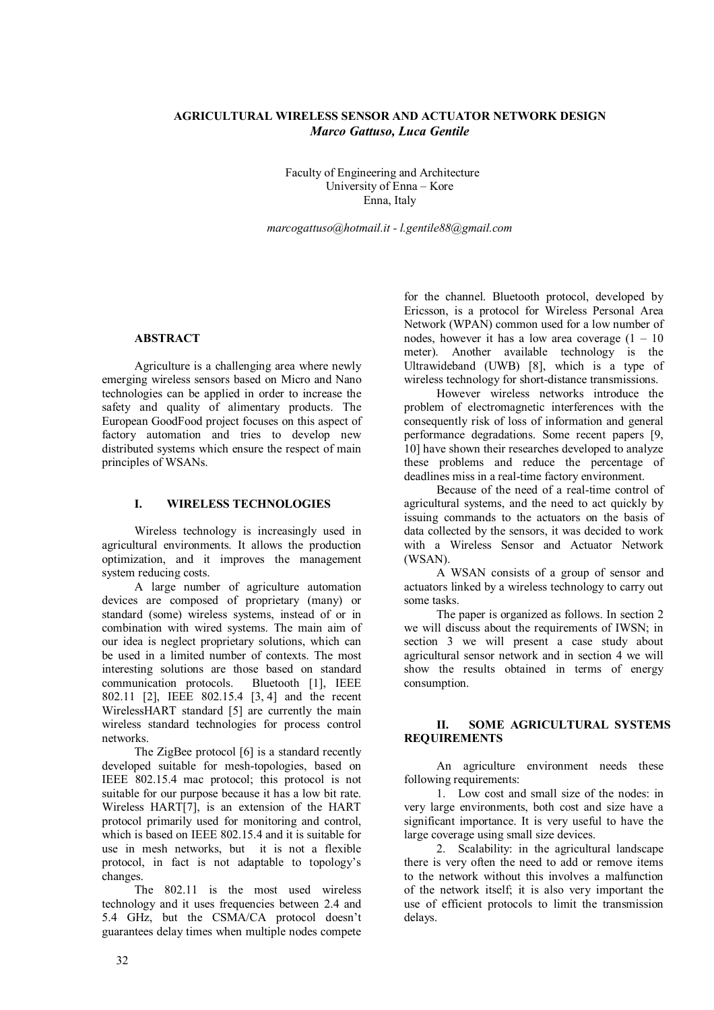# **AGRICULTURAL WIRELESS SENSOR AND ACTUATOR NETWORK DESIGN** *Marco Gattuso, Luca Gentile*

Faculty of Engineering and Architecture University of Enna – Kore Enna, Italy

*marcogattuso@hotmail.it - l.gentile88@gmail.com*

### **ABSTRACT**

Agriculture is a challenging area where newly emerging wireless sensors based on Micro and Nano technologies can be applied in order to increase the safety and quality of alimentary products. The European GoodFood project focuses on this aspect of factory automation and tries to develop new distributed systems which ensure the respect of main principles of WSANs.

### **I. WIRELESS TECHNOLOGIES**

Wireless technology is increasingly used in agricultural environments. It allows the production optimization, and it improves the management system reducing costs.

A large number of agriculture automation devices are composed of proprietary (many) or standard (some) wireless systems, instead of or in combination with wired systems. The main aim of our idea is neglect proprietary solutions, which can be used in a limited number of contexts. The most interesting solutions are those based on standard communication protocols. Bluetooth [1], IEEE 802.11 [2], IEEE 802.15.4 [3, 4] and the recent WirelessHART standard [5] are currently the main wireless standard technologies for process control networks.

The ZigBee protocol [6] is a standard recently developed suitable for mesh-topologies, based on IEEE 802.15.4 mac protocol; this protocol is not suitable for our purpose because it has a low bit rate. Wireless HART[7], is an extension of the HART protocol primarily used for monitoring and control, which is based on IEEE 802.15.4 and it is suitable for use in mesh networks, but it is not a flexible protocol, in fact is not adaptable to topology's changes.

The 802.11 is the most used wireless technology and it uses frequencies between 2.4 and 5.4 GHz, but the CSMA/CA protocol doesn't guarantees delay times when multiple nodes compete

for the channel. Bluetooth protocol, developed by Ericsson, is a protocol for Wireless Personal Area Network (WPAN) common used for a low number of nodes, however it has a low area coverage  $(1 - 10)$ meter). Another available technology is the Ultrawideband (UWB) [8], which is a type of wireless technology for short-distance transmissions.

However wireless networks introduce the problem of electromagnetic interferences with the consequently risk of loss of information and general performance degradations. Some recent papers [9, 10] have shown their researches developed to analyze these problems and reduce the percentage of deadlines miss in a real-time factory environment.

Because of the need of a real-time control of agricultural systems, and the need to act quickly by issuing commands to the actuators on the basis of data collected by the sensors, it was decided to work with a Wireless Sensor and Actuator Network (WSAN).

A WSAN consists of a group of sensor and actuators linked by a wireless technology to carry out some tasks.

The paper is organized as follows. In section 2 we will discuss about the requirements of IWSN; in section 3 we will present a case study about agricultural sensor network and in section  $\overline{4}$  we will show the results obtained in terms of energy consumption.

# **II. SOME AGRICULTURAL SYSTEMS REQUIREMENTS**

An agriculture environment needs these following requirements:

1. Low cost and small size of the nodes: in very large environments, both cost and size have a significant importance. It is very useful to have the large coverage using small size devices.

2. Scalability: in the agricultural landscape there is very often the need to add or remove items to the network without this involves a malfunction of the network itself; it is also very important the use of efficient protocols to limit the transmission delays.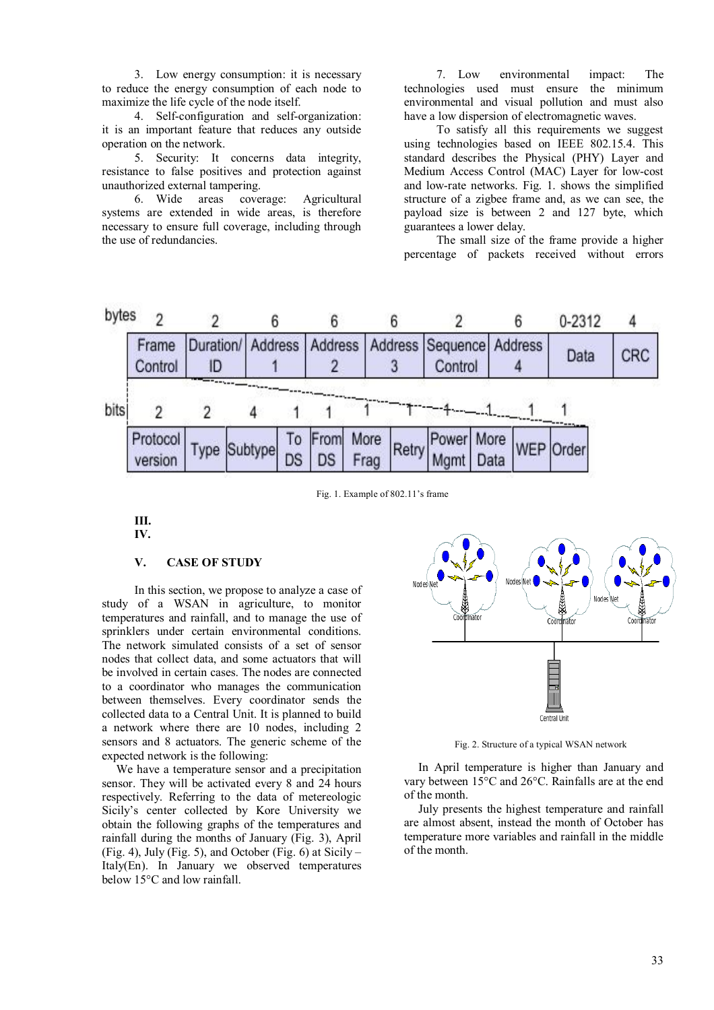3. Low energy consumption: it is necessary to reduce the energy consumption of each node to maximize the life cycle of the node itself.

4. Self-configuration and self-organization: it is an important feature that reduces any outside operation on the network.

5. Security: It concerns data integrity, resistance to false positives and protection against unauthorized external tampering.

6. Wide areas coverage: Agricultural systems are extended in wide areas, is therefore necessary to ensure full coverage, including through the use of redundancies.

7. Low environmental impact: The technologies used must ensure the minimum environmental and visual pollution and must also have a low dispersion of electromagnetic waves.

To satisfy all this requirements we suggest using technologies based on IEEE 802.15.4. This standard describes the Physical (PHY) Layer and Medium Access Control (MAC) Layer for low-cost and low-rate networks. Fig. 1. shows the simplified structure of a zigbee frame and, as we can see, the payload size is between 2 and 127 byte, which guarantees a lower delay.

The small size of the frame provide a higher percentage of packets received without errors



Fig. 1. Example of 802.11's frame

**III. IV.**

## **V. CASE OF STUDY**

In this section, we propose to analyze a case of study of a WSAN in agriculture, to monitor temperatures and rainfall, and to manage the use of sprinklers under certain environmental conditions. The network simulated consists of a set of sensor nodes that collect data, and some actuators that will be involved in certain cases. The nodes are connected to a coordinator who manages the communication between themselves. Every coordinator sends the collected data to a Central Unit. It is planned to build a network where there are 10 nodes, including 2 sensors and 8 actuators. The generic scheme of the expected network is the following:

We have a temperature sensor and a precipitation sensor. They will be activated every 8 and 24 hours respectively. Referring to the data of metereologic Sicily's center collected by Kore University we obtain the following graphs of the temperatures and rainfall during the months of January (Fig. 3), April (Fig. 4), July (Fig. 5), and October (Fig. 6) at Sicily – Italy(En). In January we observed temperatures below 15°C and low rainfall.



Fig. 2. Structure of a typical WSAN network

In April temperature is higher than January and vary between 15°C and 26°C. Rainfalls are at the end of the month.

July presents the highest temperature and rainfall are almost absent, instead the month of October has temperature more variables and rainfall in the middle of the month.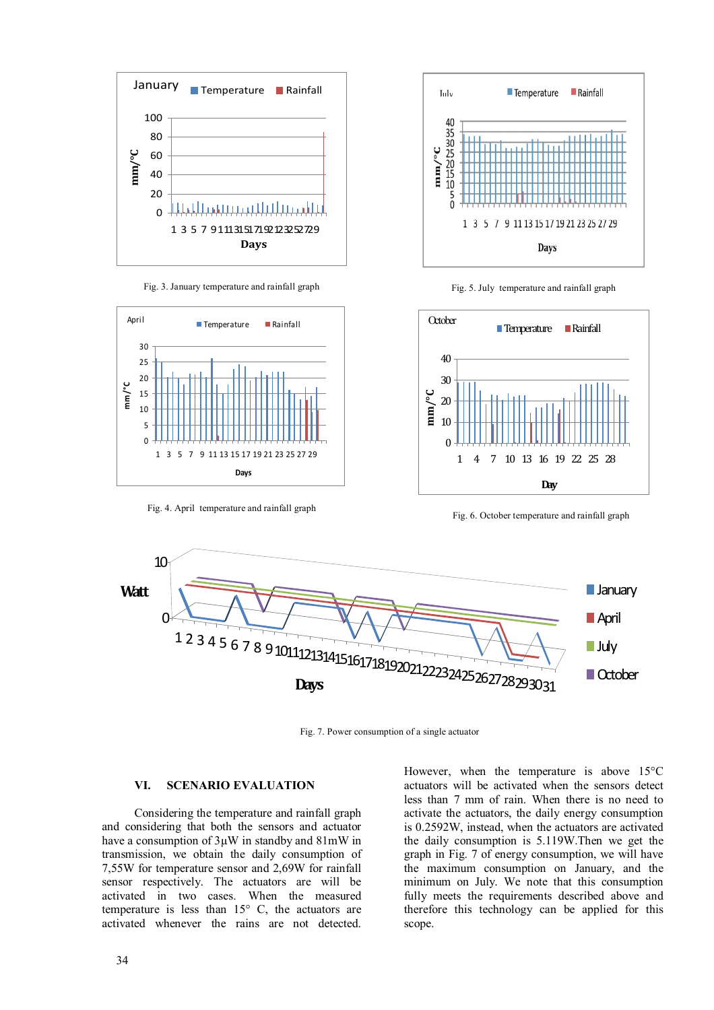





Fig. 4. April temperature and rainfall graph



Fig. 5. July temperature and rainfall graph



Fig. 6. October temperature and rainfall graph



Fig. 7. Power consumption of a single actuator

### **VI. SCENARIO EVALUATION**

Considering the temperature and rainfall graph and considering that both the sensors and actuator have a consumption of  $3\mu$ W in standby and  $81\text{mW}$  in transmission, we obtain the daily consumption of 7,55W for temperature sensor and 2,69W for rainfall sensor respectively. The actuators are will be activated in two cases. When the measured temperature is less than 15° C, the actuators are activated whenever the rains are not detected.

However, when the temperature is above 15°C actuators will be activated when the sensors detect less than 7 mm of rain. When there is no need to activate the actuators, the daily energy consumption is 0.2592W, instead, when the actuators are activated the daily consumption is 5.119W.Then we get the graph in Fig. 7 of energy consumption, we will have the maximum consumption on January, and the minimum on July. We note that this consumption fully meets the requirements described above and therefore this technology can be applied for this scope.